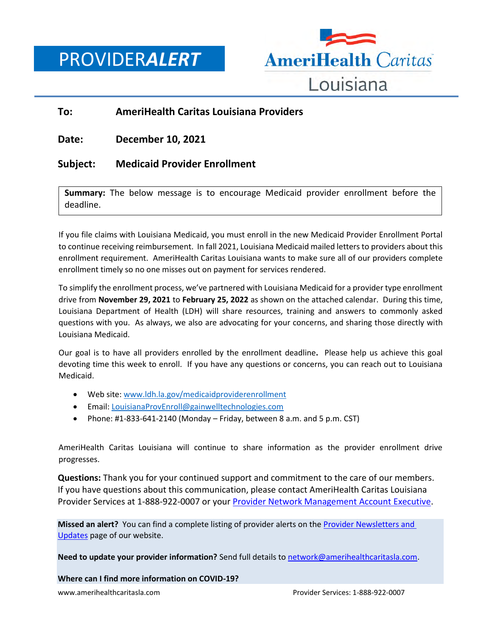PROVIDER*ALERT*



## **To: AmeriHealth Caritas Louisiana Providers**

**Date: December 10, 2021**

## **Subject: Medicaid Provider Enrollment**

**Summary:** The below message is to encourage Medicaid provider enrollment before the deadline.

If you file claims with Louisiana Medicaid, you must enroll in the new Medicaid Provider Enrollment Portal to continue receiving reimbursement. In fall 2021, Louisiana Medicaid mailed letters to providers about this enrollment requirement. AmeriHealth Caritas Louisiana wants to make sure all of our providers complete enrollment timely so no one misses out on payment for services rendered.

To simplify the enrollment process, we've partnered with Louisiana Medicaid for a provider type enrollment drive from **November 29, 2021** to **February 25, 2022** as shown on the attached calendar. During this time, Louisiana Department of Health (LDH) will share resources, training and answers to commonly asked questions with you. As always, we also are advocating for your concerns, and sharing those directly with Louisiana Medicaid.

Our goal is to have all providers enrolled by the enrollment deadline**.** Please help us achieve this goal devoting time this week to enroll. If you have any questions or concerns, you can reach out to Louisiana Medicaid.

- Web site: [www.ldh.la.gov/medicaidproviderenrollment](http://www.ldh.la.gov/medicaidproviderenrollment)
- Email: [LouisianaProvEnroll@gainwelltechnologies.com](mailto:LouisianaProvEnroll@gainwelltechnologies.com)
- Phone: #1-833-641-2140 (Monday Friday, between 8 a.m. and 5 p.m. CST)

AmeriHealth Caritas Louisiana will continue to share information as the provider enrollment drive progresses.

**Questions:** Thank you for your continued support and commitment to the care of our members. If you have questions about this communication, please contact AmeriHealth Caritas Louisiana Provider Services at 1-888-922-0007 or your Provider Network [Management Account Executive.](http://www.amerihealthcaritasla.com/pdf/provider/account-executives.pdf)

**Missed an alert?** You can find a complete listing of provider alerts on th[e Provider Newsletters and](http://amerihealthcaritasla.com/provider/newsletters-and-updates)  [Updates](http://amerihealthcaritasla.com/provider/newsletters-and-updates) page of our website.

**Need to update your provider information?** Send full details to [network@amerihealthcaritasla.com.](file://///nasfsu01/LAusers/kf20871/My%20Documents/network@amerihealthcaritasla.com)

**Where can I find more information on COVID-19?**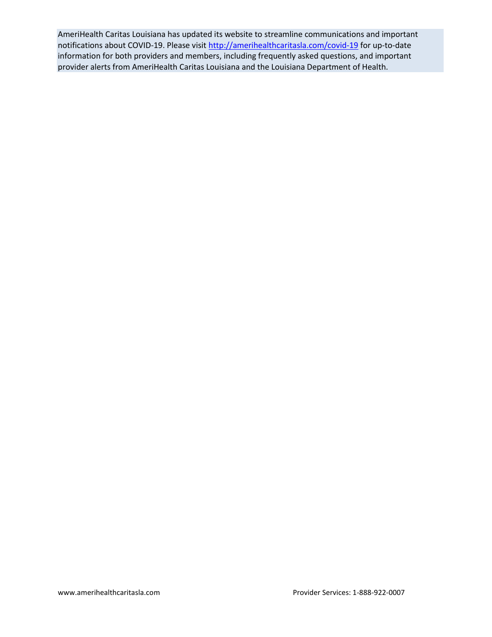AmeriHealth Caritas Louisiana has updated its website to streamline communications and important notifications about COVID-19. Please visit<http://amerihealthcaritasla.com/covid-19> for up-to-date information for both providers and members, including frequently asked questions, and important provider alerts from AmeriHealth Caritas Louisiana and the Louisiana Department of Health.